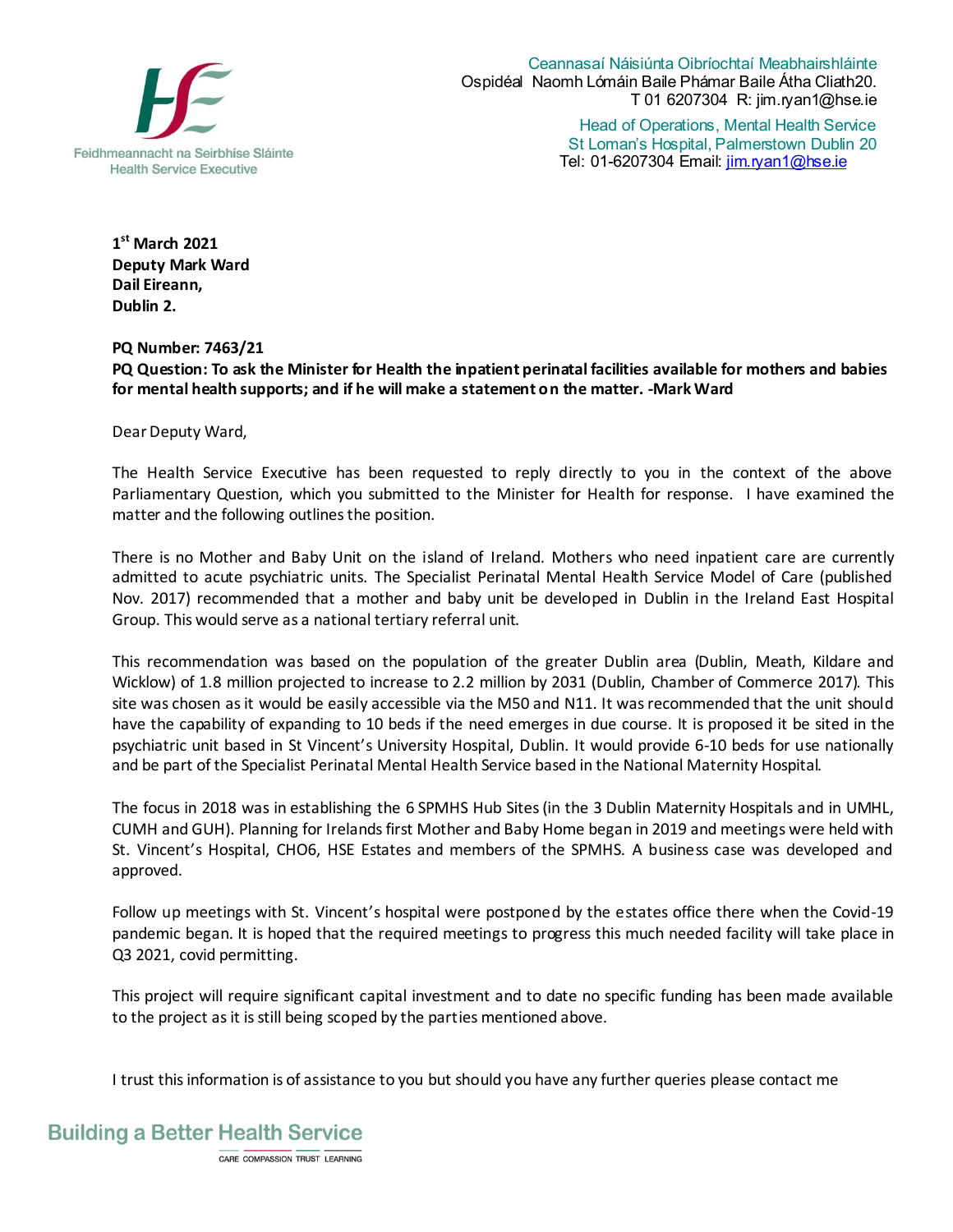

Ceannasaí Náisiúnta Oibríochtaí Meabhairshláinte Ospidéal Naomh Lómáin Baile Phámar Baile Átha Cliath20. T 01 6207304 R: jim.ryan1@hse.ie Head of Operations, Mental Health Service

St Loman's Hospital, Palmerstown Dublin 20 Tel: 01-6207304 Email: jim.ryan1@hse.ie

**1 st March 2021 Deputy Mark Ward Dail Eireann, Dublin 2.** 

**PQ Number: 7463/21** 

**PQ Question: To ask the Minister for Health the inpatient perinatal facilities available for mothers and babies for mental health supports; and if he will make a statement on the matter. -Mark Ward** 

Dear Deputy Ward,

The Health Service Executive has been requested to reply directly to you in the context of the above Parliamentary Question, which you submitted to the Minister for Health for response. I have examined the matter and the following outlines the position.

There is no Mother and Baby Unit on the island of Ireland. Mothers who need inpatient care are currently admitted to acute psychiatric units. The Specialist Perinatal Mental Health Service Model of Care (published Nov. 2017) recommended that a mother and baby unit be developed in Dublin in the Ireland East Hospital Group. This would serve as a national tertiary referral unit.

This recommendation was based on the population of the greater Dublin area (Dublin, Meath, Kildare and Wicklow) of 1.8 million projected to increase to 2.2 million by 2031 (Dublin, Chamber of Commerce 2017). This site was chosen as it would be easily accessible via the M50 and N11. It was recommended that the unit should have the capability of expanding to 10 beds if the need emerges in due course. It is proposed it be sited in the psychiatric unit based in St Vincent's University Hospital, Dublin. It would provide 6-10 beds for use nationally and be part of the Specialist Perinatal Mental Health Service based in the National Maternity Hospital.

The focus in 2018 was in establishing the 6 SPMHS Hub Sites (in the 3 Dublin Maternity Hospitals and in UMHL, CUMH and GUH). Planning for Irelands first Mother and Baby Home began in 2019 and meetings were held with St. Vincent's Hospital, CHO6, HSE Estates and members of the SPMHS. A business case was developed and approved.

Follow up meetings with St. Vincent's hospital were postponed by the estates office there when the Covid-19 pandemic began. It is hoped that the required meetings to progress this much needed facility will take place in Q3 2021, covid permitting.

This project will require significant capital investment and to date no specific funding has been made available to the project as it is still being scoped by the parties mentioned above.

I trust this information is of assistance to you but should you have any further queries please contact me